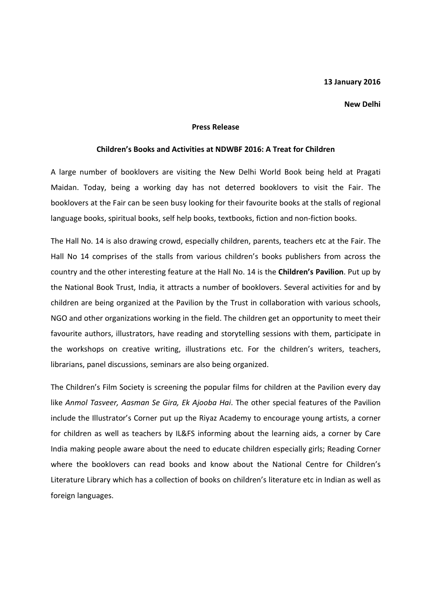## 13 January 2016

## New Delhi

## Press Release

## Children's Books and Activities at NDWBF 2016: A Treat for Children

A large number of booklovers are visiting the New Delhi World Book being held at Pragati Maidan. Today, being a working day has not deterred booklovers to visit the Fair. The booklovers at the Fair can be seen busy looking for their favourite books at the stalls of regional language books, spiritual books, self help books, textbooks, fiction and non-fiction books.

The Hall No. 14 is also drawing crowd, especially children, parents, teachers etc at the Fair. The Hall No 14 comprises of the stalls from various children's books publishers from across the country and the other interesting feature at the Hall No. 14 is the Children's Pavilion. Put up by the National Book Trust, India, it attracts a number of booklovers. Several activities for and by children are being organized at the Pavilion by the Trust in collaboration with various schools, NGO and other organizations working in the field. The children get an opportunity to meet their favourite authors, illustrators, have reading and storytelling sessions with them, participate in the workshops on creative writing, illustrations etc. For the children's writers, teachers, librarians, panel discussions, seminars are also being organized.

The Children's Film Society is screening the popular films for children at the Pavilion every day like Anmol Tasveer, Aasman Se Gira, Ek Ajooba Hai. The other special features of the Pavilion include the Illustrator's Corner put up the Riyaz Academy to encourage young artists, a corner for children as well as teachers by IL&FS informing about the learning aids, a corner by Care India making people aware about the need to educate children especially girls; Reading Corner where the booklovers can read books and know about the National Centre for Children's Literature Library which has a collection of books on children's literature etc in Indian as well as foreign languages.